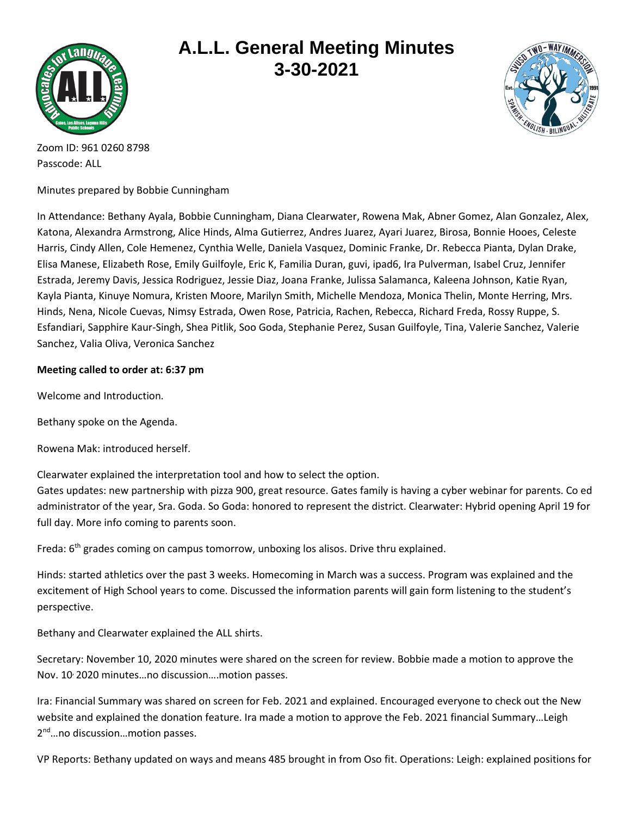

## **A.L.L. General Meeting Minutes 3-30-2021**



Zoom ID: 961 0260 8798 Passcode: ALL

Minutes prepared by Bobbie Cunningham

In Attendance: Bethany Ayala, Bobbie Cunningham, Diana Clearwater, Rowena Mak, Abner Gomez, Alan Gonzalez, Alex, Katona, Alexandra Armstrong, Alice Hinds, Alma Gutierrez, Andres Juarez, Ayari Juarez, Birosa, Bonnie Hooes, Celeste Harris, Cindy Allen, Cole Hemenez, Cynthia Welle, Daniela Vasquez, Dominic Franke, Dr. Rebecca Pianta, Dylan Drake, Elisa Manese, Elizabeth Rose, Emily Guilfoyle, Eric K, Familia Duran, guvi, ipad6, Ira Pulverman, Isabel Cruz, Jennifer Estrada, Jeremy Davis, Jessica Rodriguez, Jessie Diaz, Joana Franke, Julissa Salamanca, Kaleena Johnson, Katie Ryan, Kayla Pianta, Kinuye Nomura, Kristen Moore, Marilyn Smith, Michelle Mendoza, Monica Thelin, Monte Herring, Mrs. Hinds, Nena, Nicole Cuevas, Nimsy Estrada, Owen Rose, Patricia, Rachen, Rebecca, Richard Freda, Rossy Ruppe, S. Esfandiari, Sapphire Kaur-Singh, Shea Pitlik, Soo Goda, Stephanie Perez, Susan Guilfoyle, Tina, Valerie Sanchez, Valerie Sanchez, Valia Oliva, Veronica Sanchez

## **Meeting called to order at: 6:37 pm**

Welcome and Introduction.

Bethany spoke on the Agenda.

Rowena Mak: introduced herself.

Clearwater explained the interpretation tool and how to select the option.

Gates updates: new partnership with pizza 900, great resource. Gates family is having a cyber webinar for parents. Co ed administrator of the year, Sra. Goda. So Goda: honored to represent the district. Clearwater: Hybrid opening April 19 for full day. More info coming to parents soon.

Freda: 6<sup>th</sup> grades coming on campus tomorrow, unboxing los alisos. Drive thru explained.

Hinds: started athletics over the past 3 weeks. Homecoming in March was a success. Program was explained and the excitement of High School years to come. Discussed the information parents will gain form listening to the student's perspective.

Bethany and Clearwater explained the ALL shirts.

Secretary: November 10, 2020 minutes were shared on the screen for review. Bobbie made a motion to approve the Nov. 10, 2020 minutes…no discussion….motion passes.

Ira: Financial Summary was shared on screen for Feb. 2021 and explained. Encouraged everyone to check out the New website and explained the donation feature. Ira made a motion to approve the Feb. 2021 financial Summary…Leigh 2<sup>nd</sup>...no discussion...motion passes.

VP Reports: Bethany updated on ways and means 485 brought in from Oso fit. Operations: Leigh: explained positions for